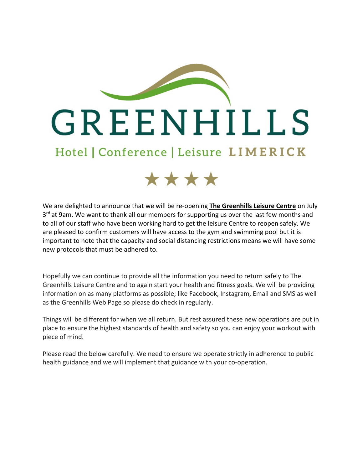



We are delighted to announce that we will be re-opening **The Greenhills Leisure Centre** on July  $3<sup>rd</sup>$  at 9am. We want to thank all our members for supporting us over the last few months and to all of our staff who have been working hard to get the leisure Centre to reopen safely. We are pleased to confirm customers will have access to the gym and swimming pool but it is important to note that the capacity and social distancing restrictions means we will have some new protocols that must be adhered to.

Hopefully we can continue to provide all the information you need to return safely to The Greenhills Leisure Centre and to again start your health and fitness goals. We will be providing information on as many platforms as possible; like Facebook, Instagram, Email and SMS as well as the Greenhills Web Page so please do check in regularly.

Things will be different for when we all return. But rest assured these new operations are put in place to ensure the highest standards of health and safety so you can enjoy your workout with piece of mind.

Please read the below carefully. We need to ensure we operate strictly in adherence to public health guidance and we will implement that guidance with your co-operation.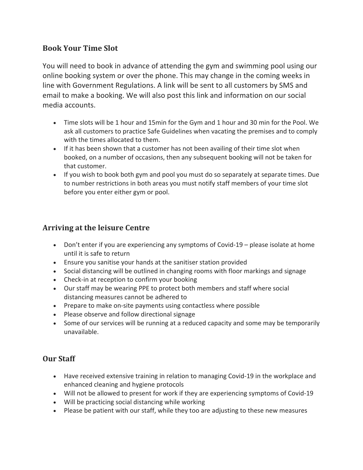### **Book Your Time Slot**

You will need to book in advance of attending the gym and swimming pool using our online booking system or over the phone. This may change in the coming weeks in line with Government Regulations. A link will be sent to all customers by SMS and email to make a booking. We will also post this link and information on our social media accounts.

- Time slots will be 1 hour and 15min for the Gym and 1 hour and 30 min for the Pool. We ask all customers to practice Safe Guidelines when vacating the premises and to comply with the times allocated to them.
- If it has been shown that a customer has not been availing of their time slot when booked, on a number of occasions, then any subsequent booking will not be taken for that customer.
- If you wish to book both gym and pool you must do so separately at separate times. Due to number restrictions in both areas you must notify staff members of your time slot before you enter either gym or pool.

#### **Arriving at the leisure Centre**

- Don't enter if you are experiencing any symptoms of Covid-19 please isolate at home until it is safe to return
- Ensure you sanitise your hands at the sanitiser station provided
- Social distancing will be outlined in changing rooms with floor markings and signage
- Check-in at reception to confirm your booking
- Our staff may be wearing PPE to protect both members and staff where social distancing measures cannot be adhered to
- Prepare to make on-site payments using contactless where possible
- Please observe and follow directional signage
- Some of our services will be running at a reduced capacity and some may be temporarily unavailable.

# **Our Staff**

- Have received extensive training in relation to managing Covid-19 in the workplace and enhanced cleaning and hygiene protocols
- Will not be allowed to present for work if they are experiencing symptoms of Covid-19
- Will be practicing social distancing while working
- Please be patient with our staff, while they too are adjusting to these new measures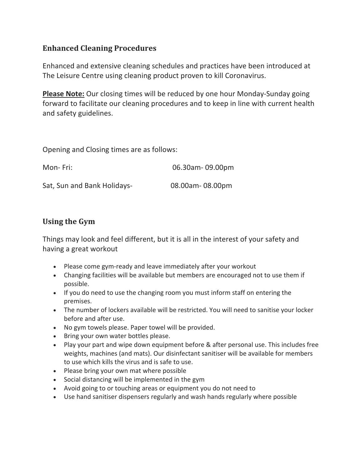## **Enhanced Cleaning Procedures**

Enhanced and extensive cleaning schedules and practices have been introduced at The Leisure Centre using cleaning product proven to kill Coronavirus.

**Please Note:** Our closing times will be reduced by one hour Monday-Sunday going forward to facilitate our cleaning procedures and to keep in line with current health and safety guidelines.

Opening and Closing times are as follows:

| Mon-Fri:                    | 06.30am - 09.00pm |
|-----------------------------|-------------------|
| Sat, Sun and Bank Holidays- | 08.00am-08.00pm   |

## **Using the Gym**

Things may look and feel different, but it is all in the interest of your safety and having a great workout

- Please come gym-ready and leave immediately after your workout
- Changing facilities will be available but members are encouraged not to use them if possible.
- If you do need to use the changing room you must inform staff on entering the premises.
- The number of lockers available will be restricted. You will need to sanitise your locker before and after use.
- No gym towels please. Paper towel will be provided.
- Bring your own water bottles please.
- Play your part and wipe down equipment before & after personal use. This includes free weights, machines (and mats). Our disinfectant sanitiser will be available for members to use which kills the virus and is safe to use.
- Please bring your own mat where possible
- Social distancing will be implemented in the gym
- Avoid going to or touching areas or equipment you do not need to
- Use hand sanitiser dispensers regularly and wash hands regularly where possible